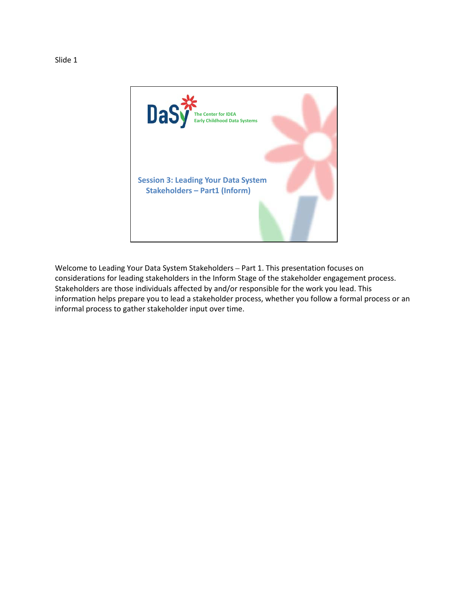

Welcome to Leading Your Data System Stakeholders – Part 1. This presentation focuses on considerations for leading stakeholders in the Inform Stage of the stakeholder engagement process. Stakeholders are those individuals affected by and/or responsible for the work you lead. This information helps prepare you to lead a stakeholder process, whether you follow a formal process or an informal process to gather stakeholder input over time.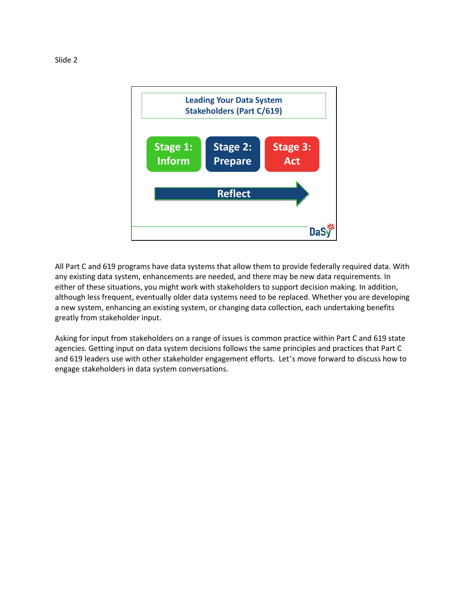

All Part C and 619 programs have data systems that allow them to provide federally required data. With any existing data system, enhancements are needed, and there may be new data requirements. In either of these situations, you might work with stakeholders to support decision making. In addition, although less frequent, eventually older data systems need to be replaced. Whether you are developing a new system, enhancing an existing system, or changing data collection, each undertaking benefits greatly from stakeholder input.

Asking for input from stakeholders on a range of issues is common practice within Part C and 619 state agencies. Getting input on data system decisions follows the same principles and practices that Part C and 619 leaders use with other stakeholder engagement efforts. Let's move forward to discuss how to engage stakeholders in data system conversations.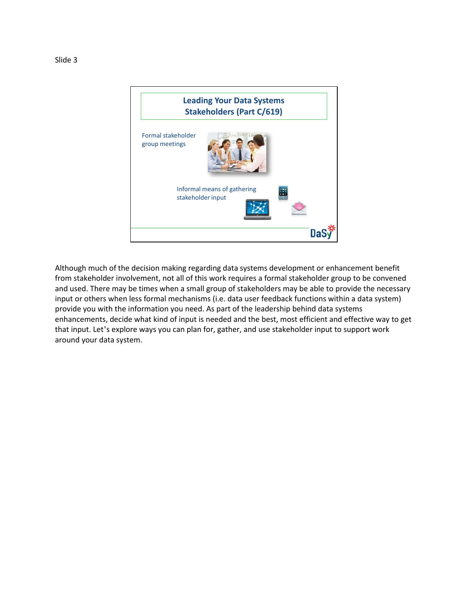

Although much of the decision making regarding data systems development or enhancement benefit from stakeholder involvement, not all of this work requires a formal stakeholder group to be convened and used. There may be times when a small group of stakeholders may be able to provide the necessary input or others when less formal mechanisms (i.e. data user feedback functions within a data system) provide you with the information you need. As part of the leadership behind data systems enhancements, decide what kind of input is needed and the best, most efficient and effective way to get that input. Let's explore ways you can plan for, gather, and use stakeholder input to support work around your data system.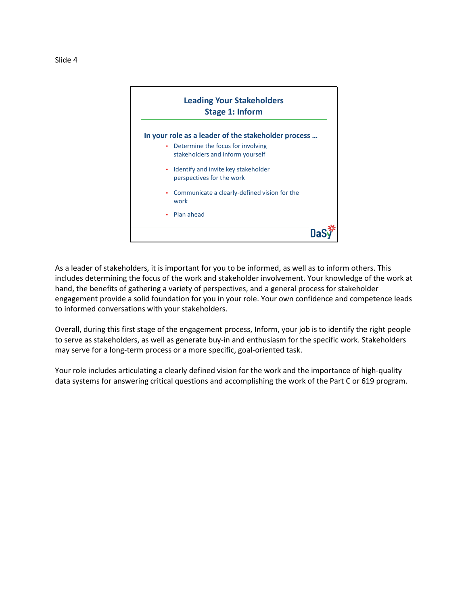

As a leader of stakeholders, it is important for you to be informed, as well as to inform others. This includes determining the focus of the work and stakeholder involvement. Your knowledge of the work at hand, the benefits of gathering a variety of perspectives, and a general process for stakeholder engagement provide a solid foundation for you in your role. Your own confidence and competence leads to informed conversations with your stakeholders.

Overall, during this first stage of the engagement process, Inform, your job is to identify the right people to serve as stakeholders, as well as generate buy-in and enthusiasm for the specific work. Stakeholders may serve for a long-term process or a more specific, goal-oriented task.

Your role includes articulating a clearly defined vision for the work and the importance of high-quality data systems for answering critical questions and accomplishing the work of the Part C or 619 program.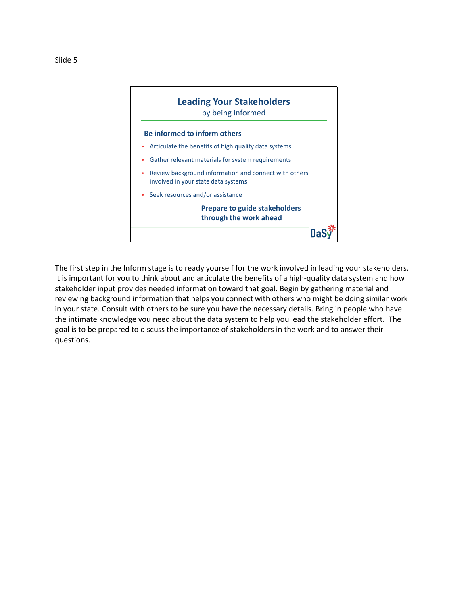

The first step in the Inform stage is to ready yourself for the work involved in leading your stakeholders. It is important for you to think about and articulate the benefits of a high-quality data system and how stakeholder input provides needed information toward that goal. Begin by gathering material and reviewing background information that helps you connect with others who might be doing similar work in your state. Consult with others to be sure you have the necessary details. Bring in people who have the intimate knowledge you need about the data system to help you lead the stakeholder effort. The goal is to be prepared to discuss the importance of stakeholders in the work and to answer their questions.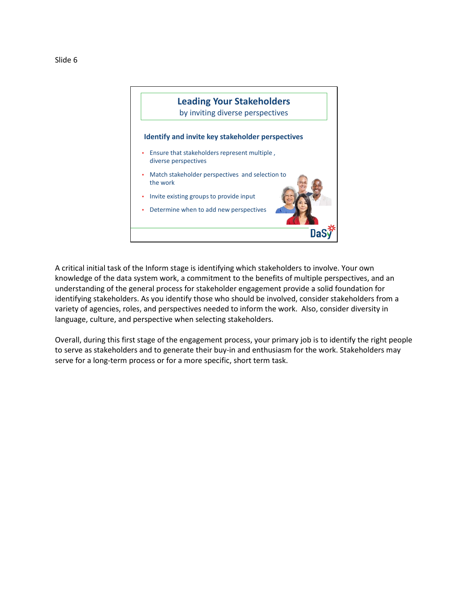



A critical initial task of the Inform stage is identifying which stakeholders to involve. Your own knowledge of the data system work, a commitment to the benefits of multiple perspectives, and an understanding of the general process for stakeholder engagement provide a solid foundation for identifying stakeholders. As you identify those who should be involved, consider stakeholders from a variety of agencies, roles, and perspectives needed to inform the work. Also, consider diversity in language, culture, and perspective when selecting stakeholders.

Overall, during this first stage of the engagement process, your primary job is to identify the right people to serve as stakeholders and to generate their buy-in and enthusiasm for the work. Stakeholders may serve for a long-term process or for a more specific, short term task.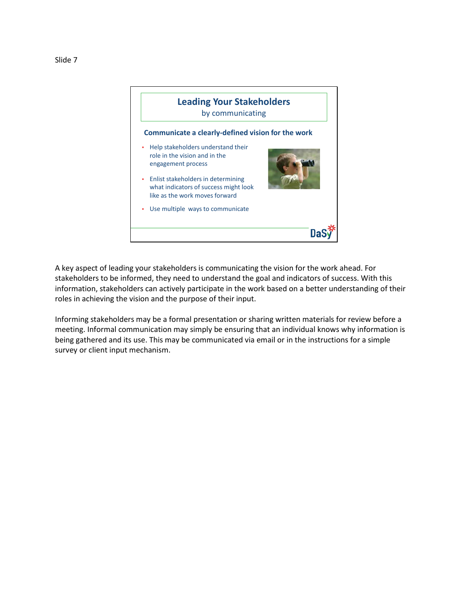



A key aspect of leading your stakeholders is communicating the vision for the work ahead. For stakeholders to be informed, they need to understand the goal and indicators of success. With this information, stakeholders can actively participate in the work based on a better understanding of their roles in achieving the vision and the purpose of their input.

Informing stakeholders may be a formal presentation or sharing written materials for review before a meeting. Informal communication may simply be ensuring that an individual knows why information is being gathered and its use. This may be communicated via email or in the instructions for a simple survey or client input mechanism.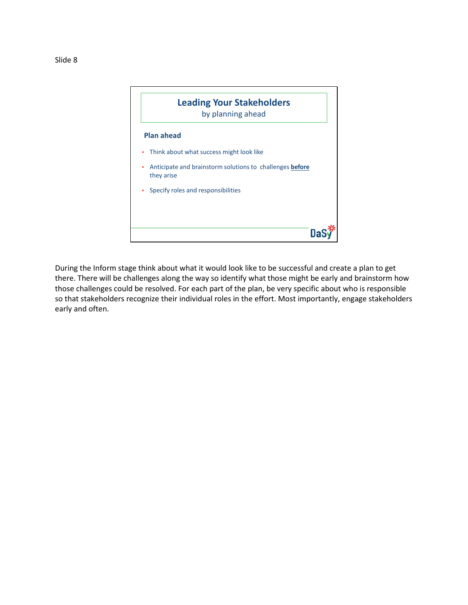

During the Inform stage think about what it would look like to be successful and create a plan to get there. There will be challenges along the way so identify what those might be early and brainstorm how those challenges could be resolved. For each part of the plan, be very specific about who is responsible so that stakeholders recognize their individual roles in the effort. Most importantly, engage stakeholders early and often.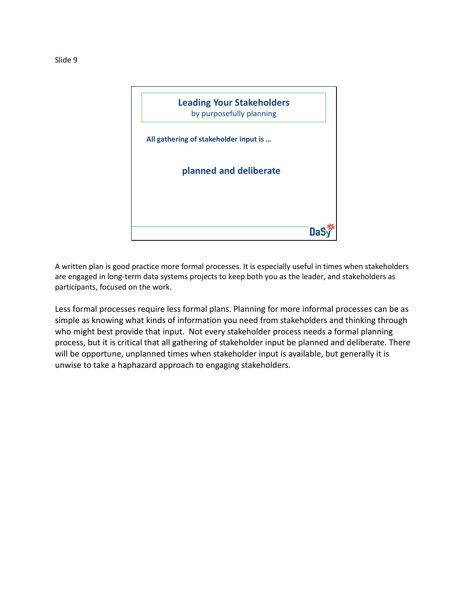

A written plan is good practice more formal processes. It is especially useful in times when stakeholders are engaged in long-term data systems projects to keep both you as the leader, and stakeholders as participants, focused on the work.

Less formal processes require less formal plans. Planning for more informal processes can be as simple as knowing what kinds of information you need from stakeholders and thinking through who might best provide that input. Not every stakeholder process needs a formal planning process, but it is critical that all gathering of stakeholder input be planned and deliberate. There will be opportune, unplanned times when stakeholder input is available, but generally it is unwise to take a haphazard approach to engaging stakeholders.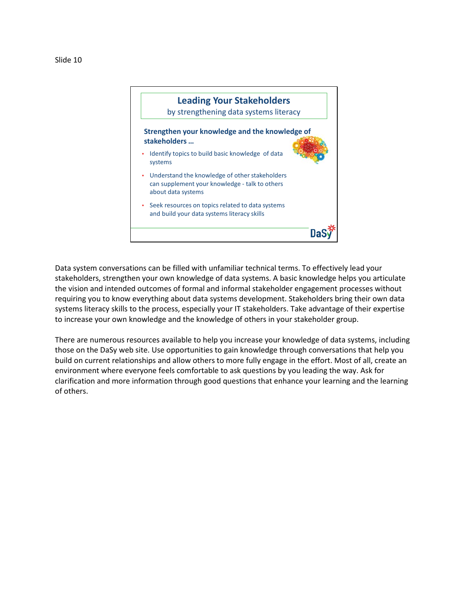

Data system conversations can be filled with unfamiliar technical terms. To effectively lead your stakeholders, strengthen your own knowledge of data systems. A basic knowledge helps you articulate the vision and intended outcomes of formal and informal stakeholder engagement processes without requiring you to know everything about data systems development. Stakeholders bring their own data systems literacy skills to the process, especially your IT stakeholders. Take advantage of their expertise to increase your own knowledge and the knowledge of others in your stakeholder group.

There are numerous resources available to help you increase your knowledge of data systems, including those on the DaSy web site. Use opportunities to gain knowledge through conversations that help you build on current relationships and allow others to more fully engage in the effort. Most of all, create an environment where everyone feels comfortable to ask questions by you leading the way. Ask for clarification and more information through good questions that enhance your learning and the learning of others.